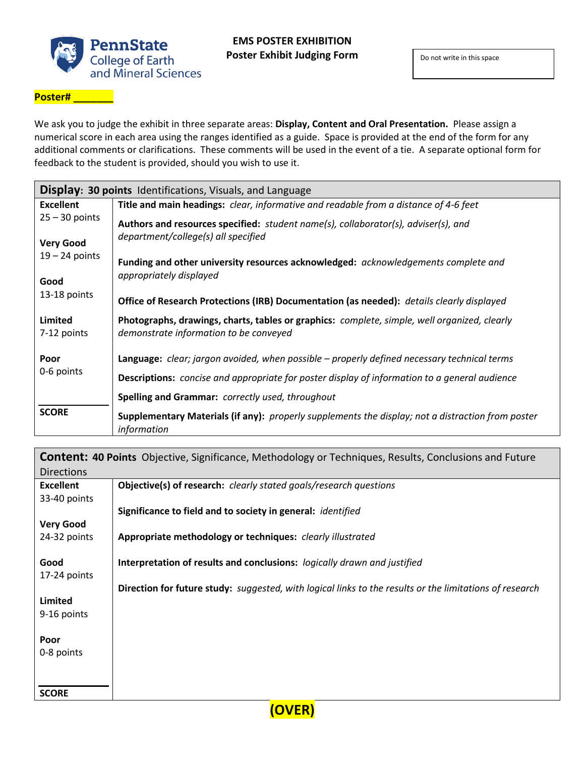

## **Poster# \_\_\_\_\_\_\_**

We ask you to judge the exhibit in three separate areas: **Display, Content and Oral Presentation.** Please assign a numerical score in each area using the ranges identified as a guide. Space is provided at the end of the form for any additional comments or clarifications. These comments will be used in the event of a tie. A separate optional form for feedback to the student is provided, should you wish to use it.

| <b>Display: 30 points</b> Identifications, Visuals, and Language |                                                                                                                                        |  |
|------------------------------------------------------------------|----------------------------------------------------------------------------------------------------------------------------------------|--|
| <b>Excellent</b>                                                 | <b>Title and main headings:</b> clear, informative and readable from a distance of 4-6 feet                                            |  |
| $25 - 30$ points                                                 | Authors and resources specified: student name(s), collaborator(s), adviser(s), and<br>department/college(s) all specified              |  |
| <b>Very Good</b>                                                 |                                                                                                                                        |  |
| $19 - 24$ points                                                 | Funding and other university resources acknowledged: acknowledgements complete and                                                     |  |
| Good                                                             | appropriately displayed                                                                                                                |  |
| 13-18 points                                                     | Office of Research Protections (IRB) Documentation (as needed): details clearly displayed                                              |  |
| Limited<br>7-12 points                                           | Photographs, drawings, charts, tables or graphics: complete, simple, well organized, clearly<br>demonstrate information to be conveyed |  |
| Poor                                                             | <b>Language:</b> clear; jargon avoided, when possible – properly defined necessary technical terms                                     |  |
| 0-6 points                                                       | <b>Descriptions:</b> concise and appropriate for poster display of information to a general audience                                   |  |
|                                                                  | <b>Spelling and Grammar:</b> correctly used, throughout                                                                                |  |
| <b>SCORE</b>                                                     | Supplementary Materials (if any): properly supplements the display; not a distraction from poster<br>information                       |  |

| <b>Content: 40 Points</b> Objective, Significance, Methodology or Techniques, Results, Conclusions and Future |                                                                                                         |  |
|---------------------------------------------------------------------------------------------------------------|---------------------------------------------------------------------------------------------------------|--|
| Directions                                                                                                    |                                                                                                         |  |
| <b>Excellent</b>                                                                                              | <b>Objective(s) of research:</b> clearly stated goals/research questions                                |  |
| 33-40 points                                                                                                  |                                                                                                         |  |
|                                                                                                               | Significance to field and to society in general: <i>identified</i>                                      |  |
| <b>Very Good</b>                                                                                              |                                                                                                         |  |
| 24-32 points                                                                                                  | Appropriate methodology or techniques: clearly illustrated                                              |  |
|                                                                                                               |                                                                                                         |  |
| Good                                                                                                          | Interpretation of results and conclusions: logically drawn and justified                                |  |
| 17-24 points                                                                                                  |                                                                                                         |  |
|                                                                                                               | Direction for future study: suggested, with logical links to the results or the limitations of research |  |
| Limited                                                                                                       |                                                                                                         |  |
| 9-16 points                                                                                                   |                                                                                                         |  |
|                                                                                                               |                                                                                                         |  |
| Poor                                                                                                          |                                                                                                         |  |
| 0-8 points                                                                                                    |                                                                                                         |  |
|                                                                                                               |                                                                                                         |  |
| <b>SCORE</b>                                                                                                  |                                                                                                         |  |

**(OVER)**